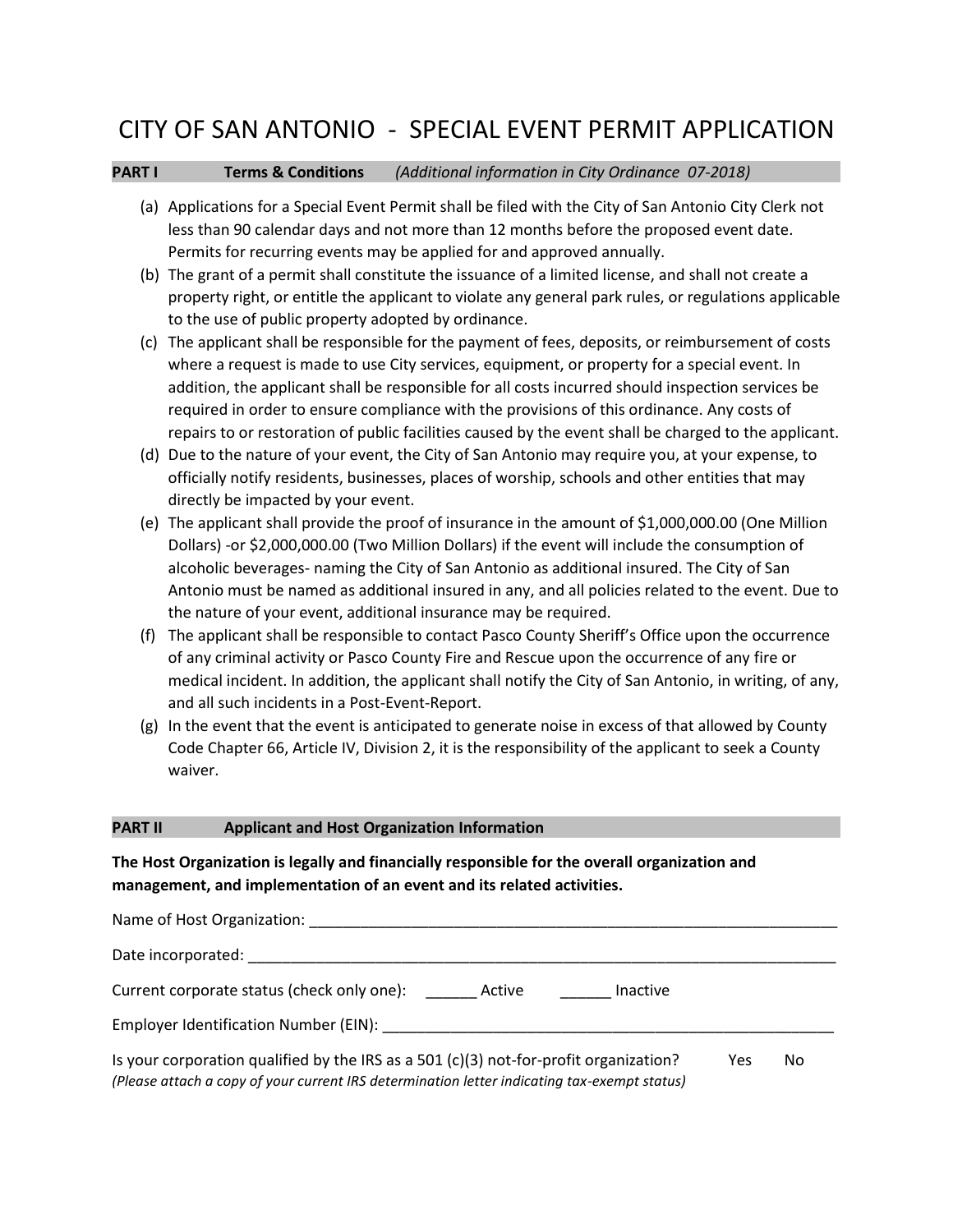## CITY OF SAN ANTONIO - SPECIAL EVENT PERMIT APPLICATION

### **PART I Terms & Conditions** *(Additional information in City Ordinance 07-2018)*

- (a) Applications for a Special Event Permit shall be filed with the City of San Antonio City Clerk not less than 90 calendar days and not more than 12 months before the proposed event date. Permits for recurring events may be applied for and approved annually.
- (b) The grant of a permit shall constitute the issuance of a limited license, and shall not create a property right, or entitle the applicant to violate any general park rules, or regulations applicable to the use of public property adopted by ordinance.
- (c) The applicant shall be responsible for the payment of fees, deposits, or reimbursement of costs where a request is made to use City services, equipment, or property for a special event. In addition, the applicant shall be responsible for all costs incurred should inspection services be required in order to ensure compliance with the provisions of this ordinance. Any costs of repairs to or restoration of public facilities caused by the event shall be charged to the applicant.
- (d) Due to the nature of your event, the City of San Antonio may require you, at your expense, to officially notify residents, businesses, places of worship, schools and other entities that may directly be impacted by your event.
- (e) The applicant shall provide the proof of insurance in the amount of \$1,000,000.00 (One Million Dollars) -or \$2,000,000.00 (Two Million Dollars) if the event will include the consumption of alcoholic beverages- naming the City of San Antonio as additional insured. The City of San Antonio must be named as additional insured in any, and all policies related to the event. Due to the nature of your event, additional insurance may be required.
- (f) The applicant shall be responsible to contact Pasco County Sheriff's Office upon the occurrence of any criminal activity or Pasco County Fire and Rescue upon the occurrence of any fire or medical incident. In addition, the applicant shall notify the City of San Antonio, in writing, of any, and all such incidents in a Post-Event-Report.
- (g) In the event that the event is anticipated to generate noise in excess of that allowed by County Code Chapter 66, Article IV, Division 2, it is the responsibility of the applicant to seek a County waiver.

### **PART II Applicant and Host Organization Information**

### **The Host Organization is legally and financially responsible for the overall organization and management, and implementation of an event and its related activities.**

| Name of Host Organization:                                                                                                                                                              |     |    |
|-----------------------------------------------------------------------------------------------------------------------------------------------------------------------------------------|-----|----|
| Date incorporated:                                                                                                                                                                      |     |    |
| Current corporate status (check only one):<br>Active<br>Inactive                                                                                                                        |     |    |
| Employer Identification Number (EIN):                                                                                                                                                   |     |    |
| Is your corporation qualified by the IRS as a $501$ (c)(3) not-for-profit organization?<br>(Please attach a copy of your current IRS determination letter indicating tax-exempt status) | Yes | No |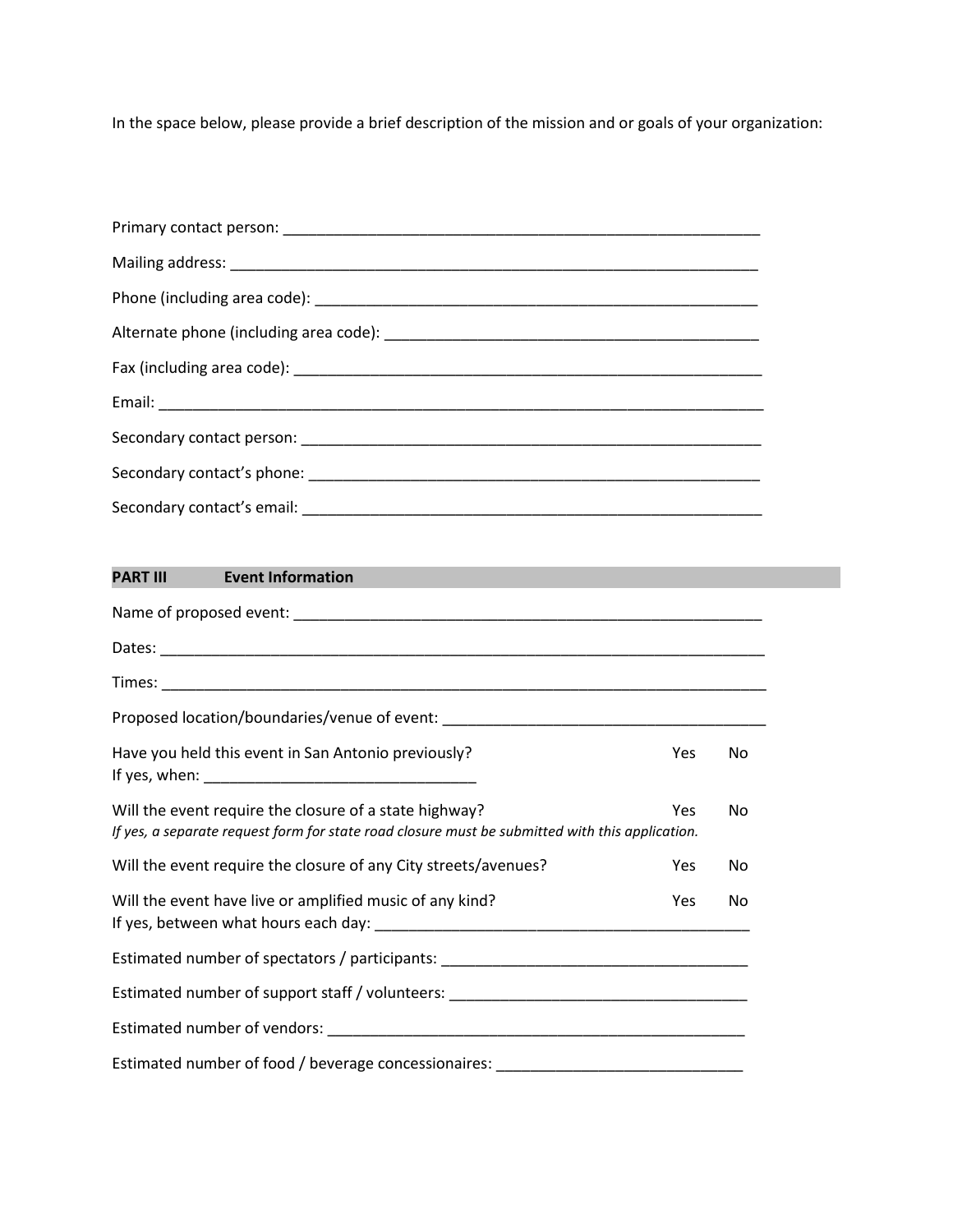In the space below, please provide a brief description of the mission and or goals of your organization:

# **PART III Event Information**  Name of proposed event: \_\_\_\_\_\_\_\_\_\_\_\_\_\_\_\_\_\_\_\_\_\_\_\_\_\_\_\_\_\_\_\_\_\_\_\_\_\_\_\_\_\_\_\_\_\_\_\_\_\_\_\_\_\_\_ Dates: \_\_\_\_\_\_\_\_\_\_\_\_\_\_\_\_\_\_\_\_\_\_\_\_\_\_\_\_\_\_\_\_\_\_\_\_\_\_\_\_\_\_\_\_\_\_\_\_\_\_\_\_\_\_\_\_\_\_\_\_\_\_\_\_\_\_\_\_\_\_\_ Times: \_\_\_\_\_\_\_\_\_\_\_\_\_\_\_\_\_\_\_\_\_\_\_\_\_\_\_\_\_\_\_\_\_\_\_\_\_\_\_\_\_\_\_\_\_\_\_\_\_\_\_\_\_\_\_\_\_\_\_\_\_\_\_\_\_\_\_\_\_\_\_ Proposed location/boundaries/venue of event: \_\_\_\_\_\_\_\_\_\_\_\_\_\_\_\_\_\_\_\_\_\_\_\_\_\_\_\_\_\_\_\_\_\_\_ Have you held this event in San Antonio previously? The Management of the Yes No If yes, when: \_\_\_\_\_\_\_\_\_\_\_\_\_\_\_\_\_\_\_\_\_\_\_\_\_\_\_\_\_\_\_\_ Will the event require the closure of a state highway? The Manuson Manuson Manuson Manuson Manuson Manuson Manuson Manuson Manuson Manuson Manuson Manuson Manuson Manuson Manuson Manuson Manuson Manuson Manuson Manuson Man *If yes, a separate request form for state road closure must be submitted with this application.* Will the event require the closure of any City streets/avenues? The Most Constants No Will the event have live or amplified music of any kind? The Most Constants No Wes No If yes, between what hours each day: \_\_\_\_\_\_\_\_\_\_\_\_\_\_\_\_\_\_\_\_\_\_\_\_\_\_\_\_\_\_\_\_\_\_\_\_\_\_\_\_\_\_\_\_ Estimated number of spectators / participants: \_\_\_\_\_\_\_\_\_\_\_\_\_\_\_\_\_\_\_\_\_\_\_\_\_\_\_\_\_\_\_\_\_ Estimated number of support staff / volunteers: \_\_\_\_\_\_\_\_\_\_\_\_\_\_\_\_\_\_\_\_\_\_\_\_\_\_\_\_\_\_\_\_ Estimated number of vendors: \_\_\_\_\_\_\_\_\_\_\_\_\_\_\_\_\_\_\_\_\_\_\_\_\_\_\_\_\_\_\_\_\_\_\_\_\_\_\_\_\_\_\_\_\_\_\_\_\_ Estimated number of food / beverage concessionaires: \_\_\_\_\_\_\_\_\_\_\_\_\_\_\_\_\_\_\_\_\_\_\_\_\_\_\_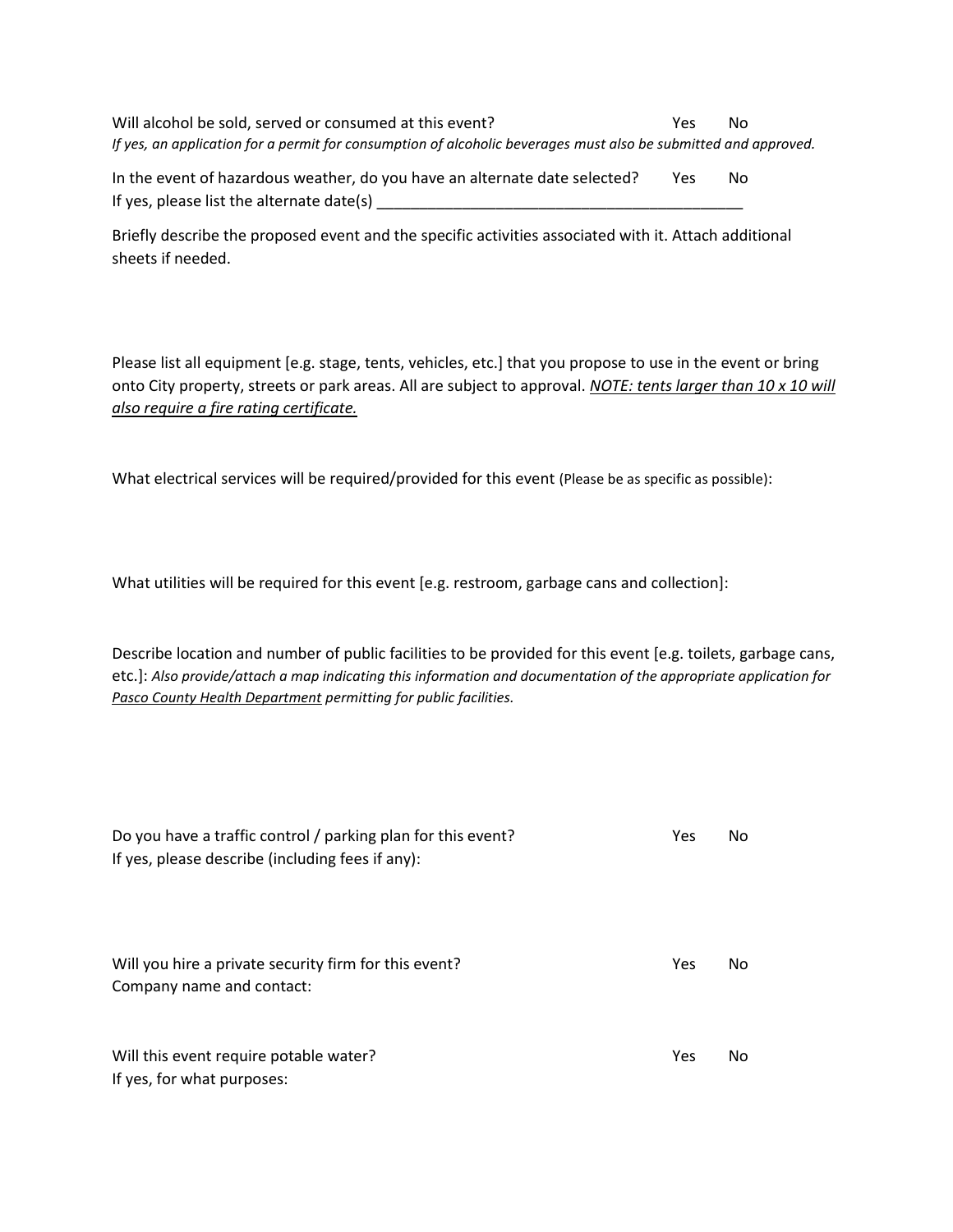Will alcohol be sold, served or consumed at this event? The Most Consumer Ses No *If yes, an application for a permit for consumption of alcoholic beverages must also be submitted and approved.*

In the event of hazardous weather, do you have an alternate date selected? Yes No If yes, please list the alternate date(s) \_\_\_\_\_\_\_\_\_\_\_\_\_\_\_\_\_\_\_\_\_\_\_\_\_\_\_\_\_\_\_\_\_\_\_\_\_\_\_\_\_\_\_

Briefly describe the proposed event and the specific activities associated with it. Attach additional sheets if needed.

Please list all equipment [e.g. stage, tents, vehicles, etc.] that you propose to use in the event or bring onto City property, streets or park areas. All are subject to approval. *NOTE: tents larger than 10 x 10 will also require a fire rating certificate.*

What electrical services will be required/provided for this event (Please be as specific as possible):

What utilities will be required for this event [e.g. restroom, garbage cans and collection]:

Describe location and number of public facilities to be provided for this event [e.g. toilets, garbage cans, etc.]: *Also provide/attach a map indicating this information and documentation of the appropriate application for Pasco County Health Department permitting for public facilities.*

| Do you have a traffic control / parking plan for this event?<br>If yes, please describe (including fees if any): | Yes | No |
|------------------------------------------------------------------------------------------------------------------|-----|----|
| Will you hire a private security firm for this event?<br>Company name and contact:                               | Yes | No |
| Will this event require potable water?<br>If yes, for what purposes:                                             | Yes | No |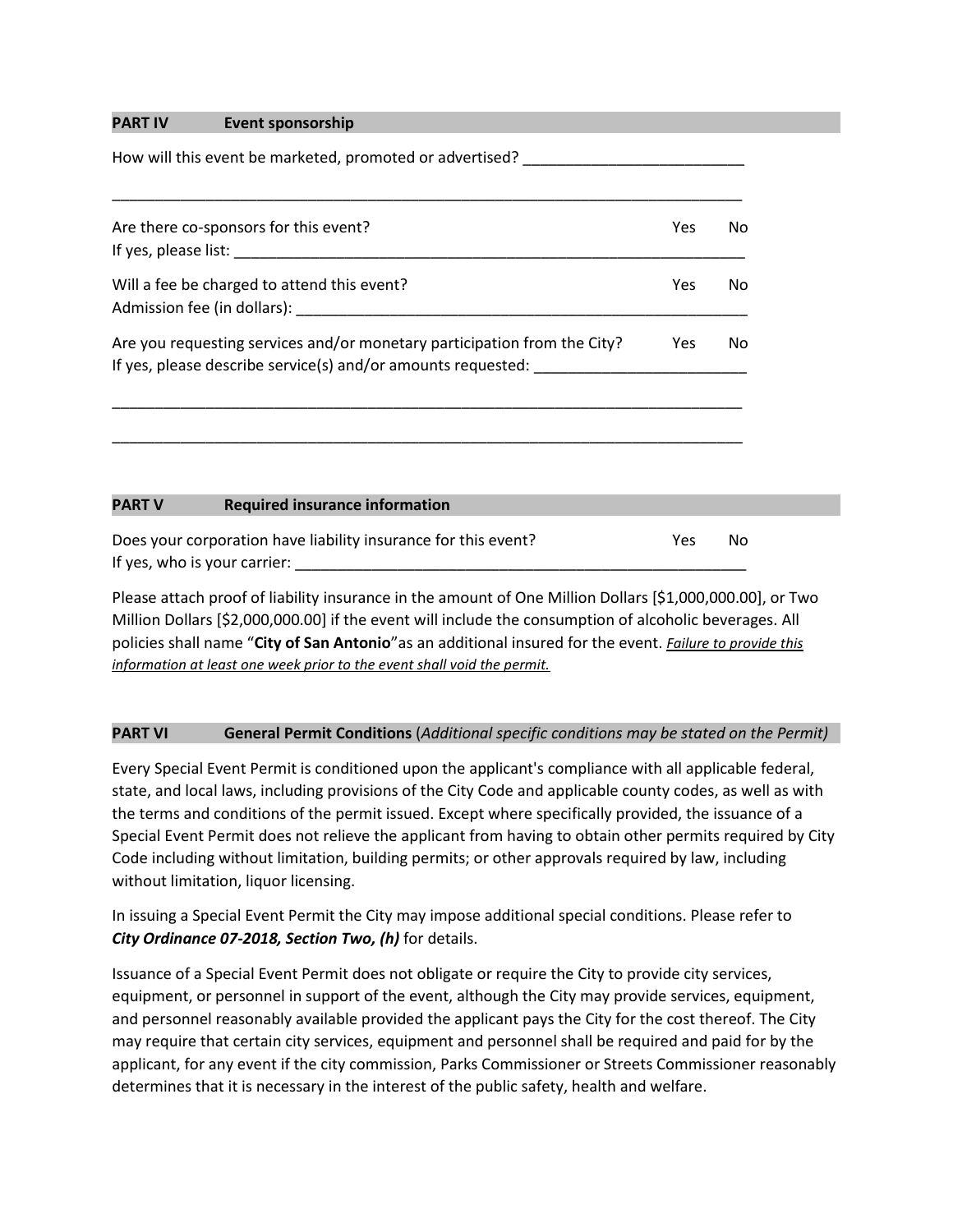### **PART IV Event sponsorship**

How will this event be marketed, promoted or advertised?

| Are there co-sponsors for this event?                                                                                                    | Yes        | No. |
|------------------------------------------------------------------------------------------------------------------------------------------|------------|-----|
| If yes, please list:                                                                                                                     |            |     |
| Will a fee be charged to attend this event?                                                                                              | Yes        | No. |
| Admission fee (in dollars):                                                                                                              |            |     |
| Are you requesting services and/or monetary participation from the City?<br>If yes, please describe service(s) and/or amounts requested: | <b>Yes</b> | No. |

\_\_\_\_\_\_\_\_\_\_\_\_\_\_\_\_\_\_\_\_\_\_\_\_\_\_\_\_\_\_\_\_\_\_\_\_\_\_\_\_\_\_\_\_\_\_\_\_\_\_\_\_\_\_\_\_\_\_\_\_\_\_\_\_\_\_\_\_\_\_\_\_\_\_

## **PART V Required insurance information**

Does your corporation have liability insurance for this event? The Yes No If yes, who is your carrier:

Please attach proof of liability insurance in the amount of One Million Dollars [\$1,000,000.00], or Two Million Dollars [\$2,000,000.00] if the event will include the consumption of alcoholic beverages. All policies shall name "**City of San Antonio**"as an additional insured for the event. *Failure to provide this information at least one week prior to the event shall void the permit.*

### **PART VI General Permit Conditions** (*Additional specific conditions may be stated on the Permit)*

Every Special Event Permit is conditioned upon the applicant's compliance with all applicable federal, state, and local laws, including provisions of the City Code and applicable county codes, as well as with the terms and conditions of the permit issued. Except where specifically provided, the issuance of a Special Event Permit does not relieve the applicant from having to obtain other permits required by City Code including without limitation, building permits; or other approvals required by law, including without limitation, liquor licensing.

In issuing a Special Event Permit the City may impose additional special conditions. Please refer to *City Ordinance 07-2018, Section Two, (h)* for details.

Issuance of a Special Event Permit does not obligate or require the City to provide city services, equipment, or personnel in support of the event, although the City may provide services, equipment, and personnel reasonably available provided the applicant pays the City for the cost thereof. The City may require that certain city services, equipment and personnel shall be required and paid for by the applicant, for any event if the city commission, Parks Commissioner or Streets Commissioner reasonably determines that it is necessary in the interest of the public safety, health and welfare.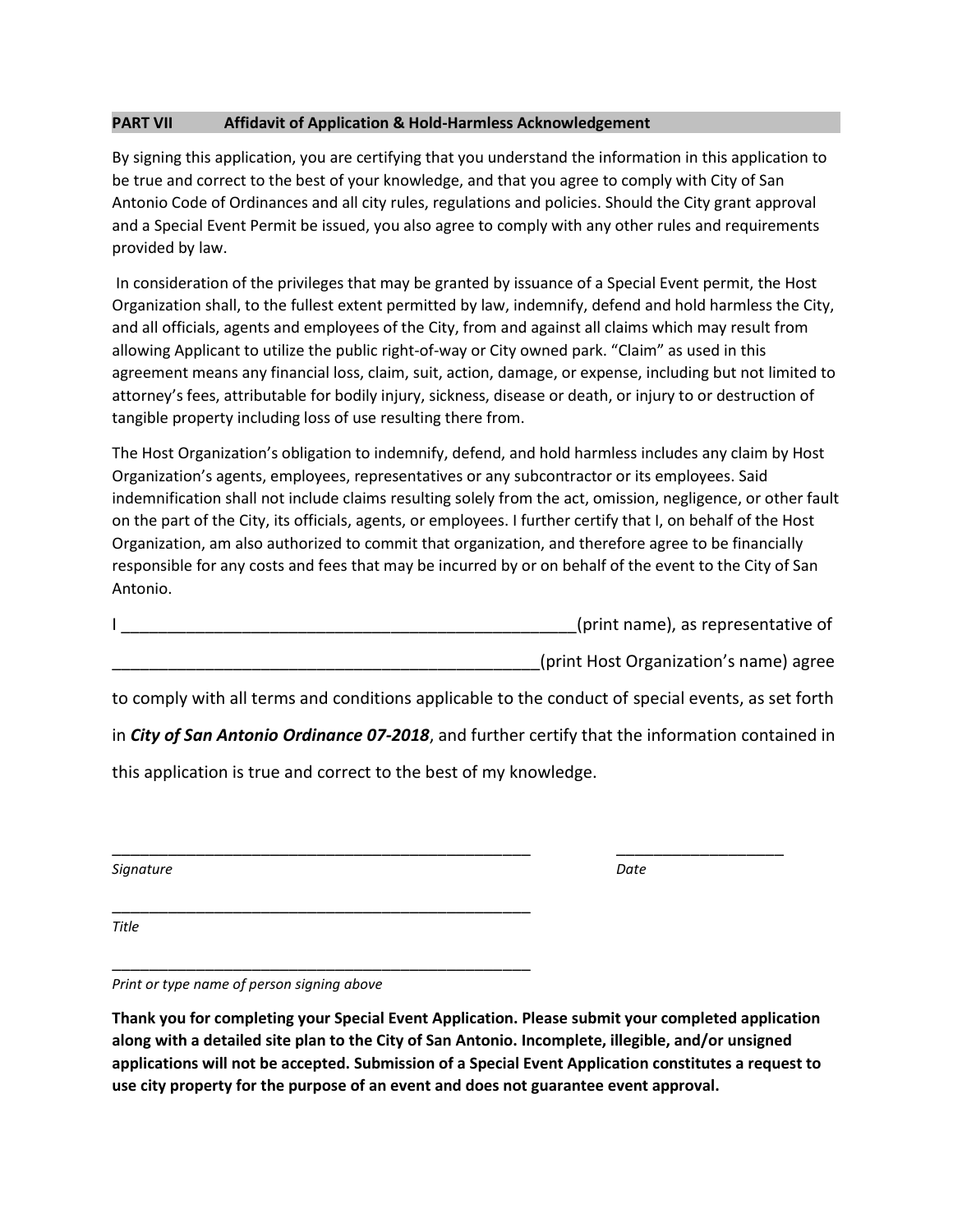### **PART VII Affidavit of Application & Hold-Harmless Acknowledgement**

By signing this application, you are certifying that you understand the information in this application to be true and correct to the best of your knowledge, and that you agree to comply with City of San Antonio Code of Ordinances and all city rules, regulations and policies. Should the City grant approval and a Special Event Permit be issued, you also agree to comply with any other rules and requirements provided by law.

In consideration of the privileges that may be granted by issuance of a Special Event permit, the Host Organization shall, to the fullest extent permitted by law, indemnify, defend and hold harmless the City, and all officials, agents and employees of the City, from and against all claims which may result from allowing Applicant to utilize the public right-of-way or City owned park. "Claim" as used in this agreement means any financial loss, claim, suit, action, damage, or expense, including but not limited to attorney's fees, attributable for bodily injury, sickness, disease or death, or injury to or destruction of tangible property including loss of use resulting there from.

The Host Organization's obligation to indemnify, defend, and hold harmless includes any claim by Host Organization's agents, employees, representatives or any subcontractor or its employees. Said indemnification shall not include claims resulting solely from the act, omission, negligence, or other fault on the part of the City, its officials, agents, or employees. I further certify that I, on behalf of the Host Organization, am also authorized to commit that organization, and therefore agree to be financially responsible for any costs and fees that may be incurred by or on behalf of the event to the City of San Antonio.

| (print name), as representative of |
|------------------------------------|
|                                    |

\_\_\_\_\_\_\_\_\_\_\_\_\_\_\_\_\_\_\_\_\_\_\_\_\_\_\_\_\_\_\_\_\_\_\_\_\_\_\_\_\_\_\_\_\_\_(print Host Organization's name) agree

to comply with all terms and conditions applicable to the conduct of special events, as set forth

in *City of San Antonio Ordinance 07-2018*, and further certify that the information contained in

\_\_\_\_\_\_\_\_\_\_\_\_\_\_\_\_\_\_\_\_\_\_\_\_\_\_\_\_\_\_\_\_\_\_\_\_\_\_\_\_\_\_\_\_\_ \_\_\_\_\_\_\_\_\_\_\_\_\_\_\_\_\_\_

this application is true and correct to the best of my knowledge.

\_\_\_\_\_\_\_\_\_\_\_\_\_\_\_\_\_\_\_\_\_\_\_\_\_\_\_\_\_\_\_\_\_\_\_\_\_\_\_\_\_\_\_\_\_

| Signature | Date |  |
|-----------|------|--|
|           |      |  |

*Title*

\_\_\_\_\_\_\_\_\_\_\_\_\_\_\_\_\_\_\_\_\_\_\_\_\_\_\_\_\_\_\_\_\_\_\_\_\_\_\_\_\_\_\_\_\_ *Print or type name of person signing above*

**Thank you for completing your Special Event Application. Please submit your completed application along with a detailed site plan to the City of San Antonio. Incomplete, illegible, and/or unsigned applications will not be accepted. Submission of a Special Event Application constitutes a request to use city property for the purpose of an event and does not guarantee event approval.**